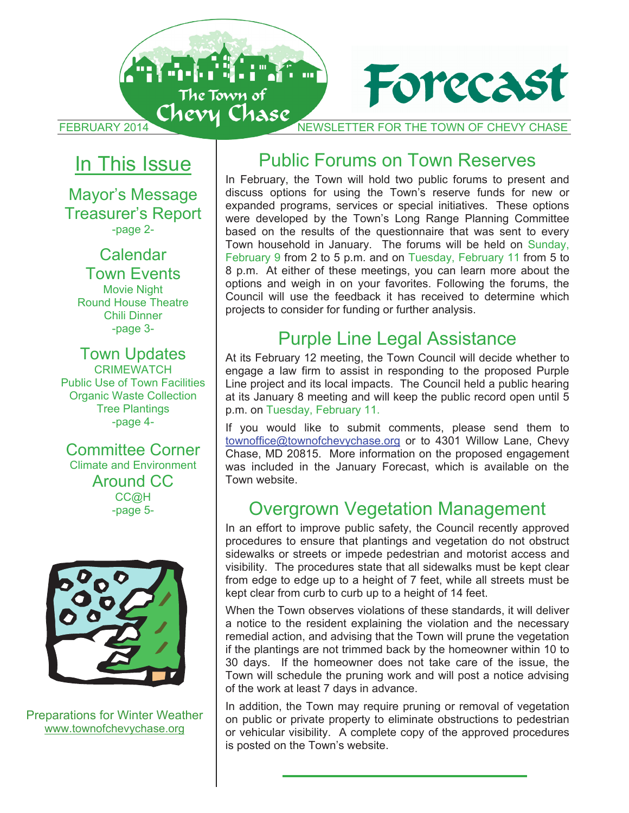

# In This Issue

Mayor's Message Treasurer's Report -page 2-

Calendar Town Events Movie Night Round House Theatre

Chili Dinner -page 3-

Town Updates **CRIMEWATCH** Public Use of Town Facilities Organic Waste Collection Tree Plantings -page 4-

Committee Corner Climate and Environment Around CC CC@H -page 5-



Preparations for Winter Weather www.townofchevychase.org

## Public Forums on Town Reserves

In February, the Town will hold two public forums to present and discuss options for using the Town's reserve funds for new or expanded programs, services or special initiatives. These options were developed by the Town's Long Range Planning Committee based on the results of the questionnaire that was sent to every Town household in January. The forums will be held on Sunday, February 9 from 2 to 5 p.m. and on Tuesday, February 11 from 5 to 8 p.m. At either of these meetings, you can learn more about the options and weigh in on your favorites. Following the forums, the Council will use the feedback it has received to determine which projects to consider for funding or further analysis.

# Purple Line Legal Assistance

At its February 12 meeting, the Town Council will decide whether to engage a law firm to assist in responding to the proposed Purple Line project and its local impacts. The Council held a public hearing at its January 8 meeting and will keep the public record open until 5 p.m. on Tuesday, February 11.

If you would like to submit comments, please send them to townoffice@townofchevychase.org or to 4301 Willow Lane, Chevy Chase, MD 20815. More information on the proposed engagement was included in the January Forecast, which is available on the Town website.

## Overgrown Vegetation Management

In an effort to improve public safety, the Council recently approved procedures to ensure that plantings and vegetation do not obstruct sidewalks or streets or impede pedestrian and motorist access and visibility. The procedures state that all sidewalks must be kept clear from edge to edge up to a height of 7 feet, while all streets must be kept clear from curb to curb up to a height of 14 feet.

When the Town observes violations of these standards, it will deliver a notice to the resident explaining the violation and the necessary remedial action, and advising that the Town will prune the vegetation if the plantings are not trimmed back by the homeowner within 10 to 30 days. If the homeowner does not take care of the issue, the Town will schedule the pruning work and will post a notice advising of the work at least 7 days in advance.

In addition, the Town may require pruning or removal of vegetation on public or private property to eliminate obstructions to pedestrian or vehicular visibility. A complete copy of the approved procedures is posted on the Town's website.

1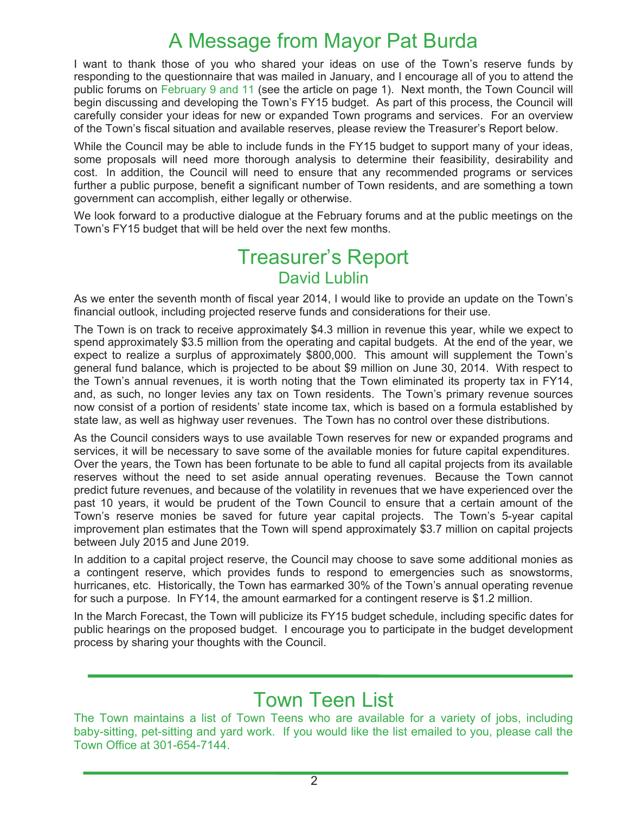# A Message from Mayor Pat Burda

I want to thank those of you who shared your ideas on use of the Town's reserve funds by responding to the questionnaire that was mailed in January, and I encourage all of you to attend the public forums on February 9 and 11 (see the article on page 1). Next month, the Town Council will begin discussing and developing the Town's FY15 budget. As part of this process, the Council will carefully consider your ideas for new or expanded Town programs and services. For an overview of the Town's fiscal situation and available reserves, please review the Treasurer's Report below.

While the Council may be able to include funds in the FY15 budget to support many of your ideas, some proposals will need more thorough analysis to determine their feasibility, desirability and cost. In addition, the Council will need to ensure that any recommended programs or services further a public purpose, benefit a significant number of Town residents, and are something a town government can accomplish, either legally or otherwise.

We look forward to a productive dialogue at the February forums and at the public meetings on the Town's FY15 budget that will be held over the next few months.

## Treasurer's Report David Lublin

As we enter the seventh month of fiscal year 2014, I would like to provide an update on the Town's financial outlook, including projected reserve funds and considerations for their use.

The Town is on track to receive approximately \$4.3 million in revenue this year, while we expect to spend approximately \$3.5 million from the operating and capital budgets. At the end of the year, we expect to realize a surplus of approximately \$800,000. This amount will supplement the Town's general fund balance, which is projected to be about \$9 million on June 30, 2014. With respect to the Town's annual revenues, it is worth noting that the Town eliminated its property tax in FY14, and, as such, no longer levies any tax on Town residents. The Town's primary revenue sources now consist of a portion of residents' state income tax, which is based on a formula established by state law, as well as highway user revenues. The Town has no control over these distributions.

As the Council considers ways to use available Town reserves for new or expanded programs and services, it will be necessary to save some of the available monies for future capital expenditures. Over the years, the Town has been fortunate to be able to fund all capital projects from its available reserves without the need to set aside annual operating revenues. Because the Town cannot predict future revenues, and because of the volatility in revenues that we have experienced over the past 10 years, it would be prudent of the Town Council to ensure that a certain amount of the Town's reserve monies be saved for future year capital projects. The Town's 5-year capital improvement plan estimates that the Town will spend approximately \$3.7 million on capital projects between July 2015 and June 2019.

In addition to a capital project reserve, the Council may choose to save some additional monies as a contingent reserve, which provides funds to respond to emergencies such as snowstorms, hurricanes, etc. Historically, the Town has earmarked 30% of the Town's annual operating revenue for such a purpose. In FY14, the amount earmarked for a contingent reserve is \$1.2 million.

In the March Forecast, the Town will publicize its FY15 budget schedule, including specific dates for public hearings on the proposed budget. I encourage you to participate in the budget development process by sharing your thoughts with the Council.

# Town Teen List

The Town maintains a list of Town Teens who are available for a variety of jobs, including baby-sitting, pet-sitting and yard work. If you would like the list emailed to you, please call the Town Office at 301-654-7144.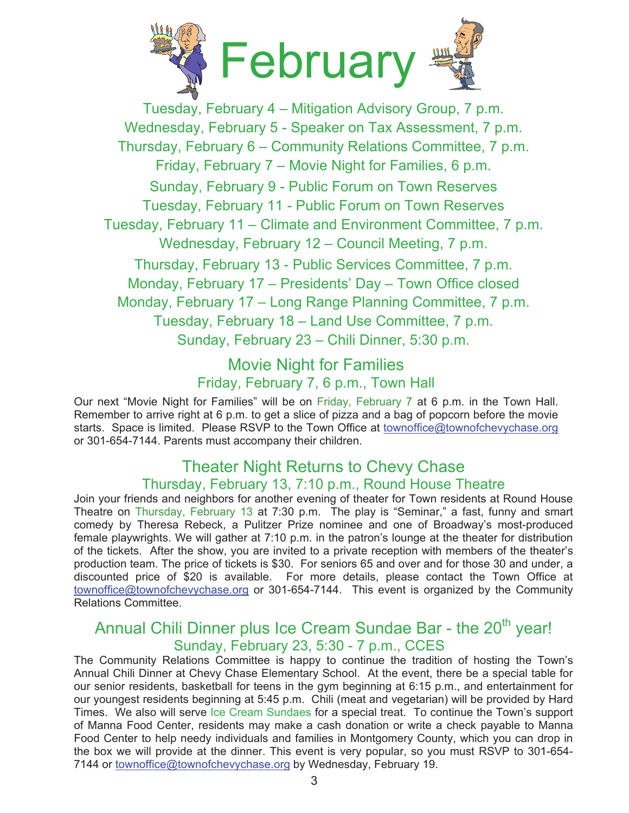

Tuesday, February 4 – Mitigation Advisory Group, 7 p.m. Wednesday, February 5 - Speaker on Tax Assessment, 7 p.m. Thursday, February 6 – Community Relations Committee, 7 p.m. Friday, February 7 – Movie Night for Families, 6 p.m. 2 Sunday, February 9 - Public Forum on Town Reserves Tuesday, February 11 - Public Forum on Town Reserves Tuesday, February 11 – Climate and Environment Committee, 7 p.m. Wednesday, February 12 – Council Meeting, 7 p.m. Thursday, February 13 - Public Services Committee, 7 p.m. Monday, February 17 – Presidents' Day – Town Office closed Monday, February 17 – Long Range Planning Committee, 7 p.m. Tuesday, February 18 – Land Use Committee, 7 p.m. Sunday, February 23 – Chili Dinner, 5:30 p.m.

## Movie Night for Families Friday, February 7, 6 p.m., Town Hall

Our next "Movie Night for Families" will be on Friday, February 7 at 6 p.m. in the Town Hall. Remember to arrive right at 6 p.m. to get a slice of pizza and a bag of popcorn before the movie starts. Space is limited. Please RSVP to the Town Office at townoffice@townofchevychase.org or 301-654-7144. Parents must accompany their children.

## Theater Night Returns to Chevy Chase Thursday, February 13, 7:10 p.m., Round House Theatre

Join your friends and neighbors for another evening of theater for Town residents at Round House Theatre on Thursday, February 13 at 7:30 p.m. The play is "Seminar," a fast, funny and smart comedy by Theresa Rebeck, a Pulitzer Prize nominee and one of Broadway's most-produced female playwrights. We will gather at 7:10 p.m. in the patron's lounge at the theater for distribution of the tickets. After the show, you are invited to a private reception with members of the theater's production team. The price of tickets is \$30. For seniors 65 and over and for those 30 and under, a discounted price of \$20 is available. For more details, please contact the Town Office at townoffice@townofchevychase.org or 301-654-7144. This event is organized by the Community Relations Committee.

## Annual Chili Dinner plus Ice Cream Sundae Bar - the 20<sup>th</sup> year! Sunday, February 23, 5:30 - 7 p.m., CCES

The Community Relations Committee is happy to continue the tradition of hosting the Town's Annual Chili Dinner at Chevy Chase Elementary School. At the event, there be a special table for our senior residents, basketball for teens in the gym beginning at 6:15 p.m., and entertainment for our youngest residents beginning at 5:45 p.m. Chili (meat and vegetarian) will be provided by Hard Times. We also will serve Ice Cream Sundaes for a special treat. To continue the Town's support of Manna Food Center, residents may make a cash donation or write a check payable to Manna Food Center to help needy individuals and families in Montgomery County, which you can drop in the box we will provide at the dinner. This event is very popular, so you must RSVP to 301-654- 7144 or townoffice@townofchevychase.org by Wednesday, February 19.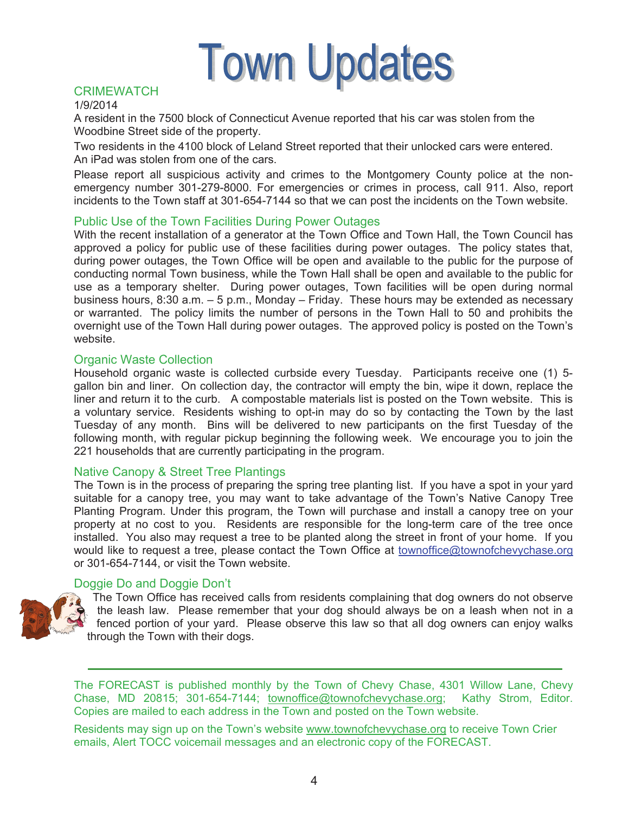

#### **CRIMEWATCH**

1/9/2014

A resident in the 7500 block of Connecticut Avenue reported that his car was stolen from the Woodbine Street side of the property.

Two residents in the 4100 block of Leland Street reported that their unlocked cars were entered. An iPad was stolen from one of the cars.

Please report all suspicious activity and crimes to the Montgomery County police at the nonemergency number 301-279-8000. For emergencies or crimes in process, call 911. Also, report incidents to the Town staff at 301-654-7144 so that we can post the incidents on the Town website.

#### Public Use of the Town Facilities During Power Outages

With the recent installation of a generator at the Town Office and Town Hall, the Town Council has approved a policy for public use of these facilities during power outages. The policy states that, during power outages, the Town Office will be open and available to the public for the purpose of conducting normal Town business, while the Town Hall shall be open and available to the public for use as a temporary shelter. During power outages, Town facilities will be open during normal business hours, 8:30 a.m. – 5 p.m., Monday – Friday. These hours may be extended as necessary or warranted. The policy limits the number of persons in the Town Hall to 50 and prohibits the overnight use of the Town Hall during power outages. The approved policy is posted on the Town's website.

#### Organic Waste Collection

Household organic waste is collected curbside every Tuesday. Participants receive one (1) 5 gallon bin and liner. On collection day, the contractor will empty the bin, wipe it down, replace the liner and return it to the curb. A compostable materials list is posted on the Town website. This is a voluntary service. Residents wishing to opt-in may do so by contacting the Town by the last Tuesday of any month. Bins will be delivered to new participants on the first Tuesday of the following month, with regular pickup beginning the following week. We encourage you to join the 221 households that are currently participating in the program.

#### Native Canopy & Street Tree Plantings

The Town is in the process of preparing the spring tree planting list. If you have a spot in your yard suitable for a canopy tree, you may want to take advantage of the Town's Native Canopy Tree Planting Program. Under this program, the Town will purchase and install a canopy tree on your property at no cost to you. Residents are responsible for the long-term care of the tree once installed. You also may request a tree to be planted along the street in front of your home. If you would like to request a tree, please contact the Town Office at townoffice@townofchevychase.org or 301-654-7144, or visit the Town website.

#### Doggie Do and Doggie Don't



The Town Office has received calls from residents complaining that dog owners do not observe the leash law. Please remember that your dog should always be on a leash when not in a fenced portion of your yard. Please observe this law so that all dog owners can enjoy walks through the Town with their dogs.

The FORECAST is published monthly by the Town of Chevy Chase, 4301 Willow Lane, Chevy Chase, MD 20815; 301-654-7144; townoffice@townofchevychase.org; Kathy Strom, Editor. Chase, MD 20815; 301-654-7144; townoffice@townofchevychase.org; Copies are mailed to each address in the Town and posted on the Town website.

Residents may sign up on the Town's website www.townofchevychase.org to receive Town Crier emails, Alert TOCC voicemail messages and an electronic copy of the FORECAST.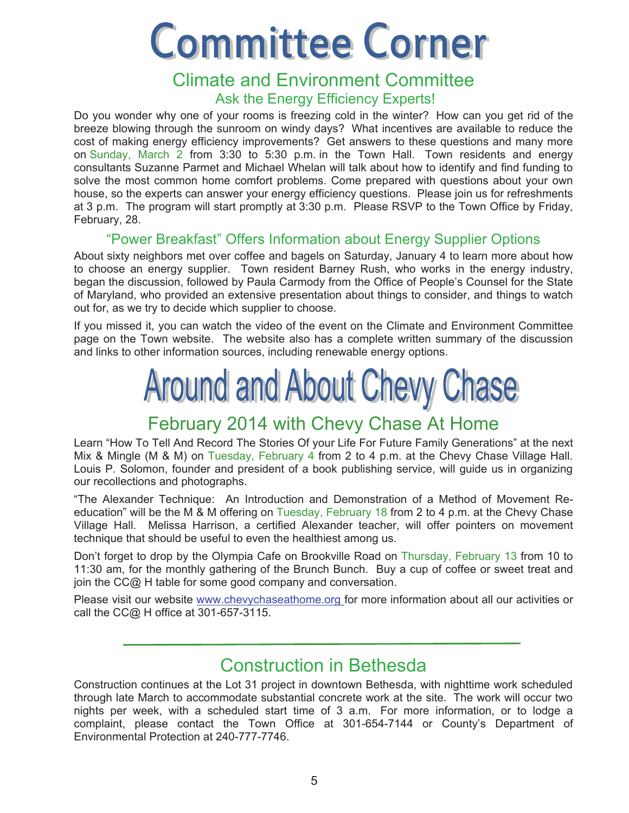# **Committee Corner**

## Climate and Environment Committee Ask the Energy Efficiency Experts!

Do you wonder why one of your rooms is freezing cold in the winter? How can you get rid of the breeze blowing through the sunroom on windy days? What incentives are available to reduce the cost of making energy efficiency improvements? Get answers to these questions and many more on Sunday, March 2 from 3:30 to 5:30 p.m. in the Town Hall. Town residents and energy consultants Suzanne Parmet and Michael Whelan will talk about how to identify and find funding to solve the most common home comfort problems. Come prepared with questions about your own house, so the experts can answer your energy efficiency questions. Please join us for refreshments at 3 p.m. The program will start promptly at 3:30 p.m. Please RSVP to the Town Office by Friday, February, 28.

### "Power Breakfast" Offers Information about Energy Supplier Options

About sixty neighbors met over coffee and bagels on Saturday, January 4 to learn more about how to choose an energy supplier. Town resident Barney Rush, who works in the energy industry, began the discussion, followed by Paula Carmody from the Office of People's Counsel for the State of Maryland, who provided an extensive presentation about things to consider, and things to watch out for, as we try to decide which supplier to choose.

If you missed it, you can watch the video of the event on the Climate and Environment Committee page on the Town website. The website also has a complete written summary of the discussion and links to other information sources, including renewable energy options.

# **Around and About Chevy Chase**

## February 2014 with Chevy Chase At Home

Learn "How To Tell And Record The Stories Of your Life For Future Family Generations" at the next Mix & Mingle (M & M) on Tuesday, February 4 from 2 to 4 p.m. at the Chevy Chase Village Hall. Louis P. Solomon, founder and president of a book publishing service, will guide us in organizing our recollections and photographs.

"The Alexander Technique: An Introduction and Demonstration of a Method of Movement Reeducation" will be the M & M offering on Tuesday, February 18 from 2 to 4 p.m. at the Chevy Chase Village Hall. Melissa Harrison, a certified Alexander teacher, will offer pointers on movement technique that should be useful to even the healthiest among us.

Don't forget to drop by the Olympia Cafe on Brookville Road on Thursday, February 13 from 10 to 11:30 am, for the monthly gathering of the Brunch Bunch. Buy a cup of coffee or sweet treat and join the CC@ H table for some good company and conversation.

Please visit our website www.chevychaseathome.org for more information about all our activities or call the CC@ H office at 301-657-3115.

## Construction in Bethesda

Construction continues at the Lot 31 project in downtown Bethesda, with nighttime work scheduled through late March to accommodate substantial concrete work at the site. The work will occur two nights per week, with a scheduled start time of 3 a.m. For more information, or to lodge a complaint, please contact the Town Office at 301-654-7144 or County's Department of Environmental Protection at 240-777-7746.